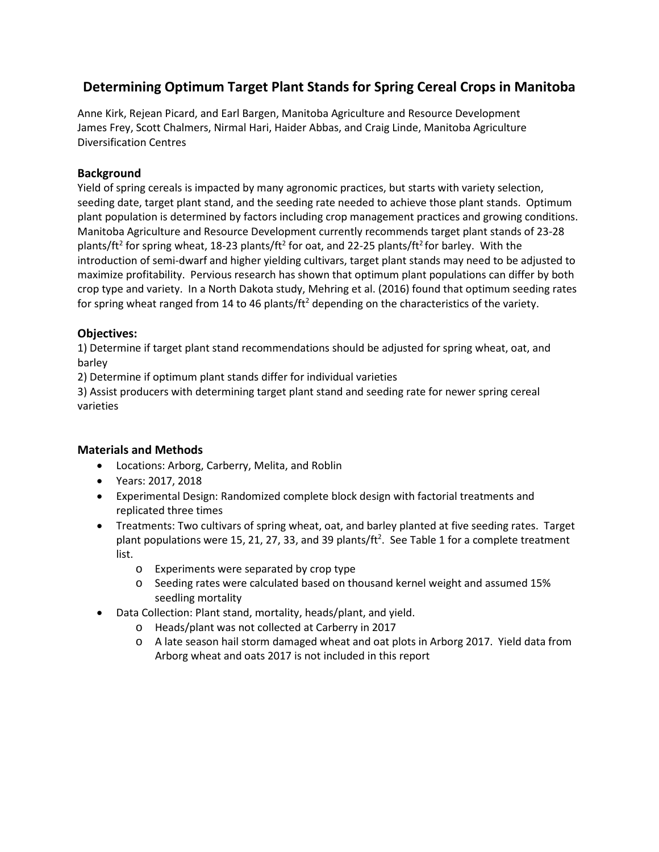# **Determining Optimum Target Plant Stands for Spring Cereal Crops in Manitoba**

Anne Kirk, Rejean Picard, and Earl Bargen, Manitoba Agriculture and Resource Development James Frey, Scott Chalmers, Nirmal Hari, Haider Abbas, and Craig Linde, Manitoba Agriculture Diversification Centres

## **Background**

Yield of spring cereals is impacted by many agronomic practices, but starts with variety selection, seeding date, target plant stand, and the seeding rate needed to achieve those plant stands. Optimum plant population is determined by factors including crop management practices and growing conditions. Manitoba Agriculture and Resource Development currently recommends target plant stands of 23-28 plants/ft<sup>2</sup> for spring wheat, 18-23 plants/ft<sup>2</sup> for oat, and 22-25 plants/ft<sup>2</sup> for barley. With the introduction of semi-dwarf and higher yielding cultivars, target plant stands may need to be adjusted to maximize profitability. Pervious research has shown that optimum plant populations can differ by both crop type and variety. In a North Dakota study, Mehring et al. (2016) found that optimum seeding rates for spring wheat ranged from 14 to 46 plants/ $\text{ft}^2$  depending on the characteristics of the variety.

## **Objectives:**

1) Determine if target plant stand recommendations should be adjusted for spring wheat, oat, and barley

2) Determine if optimum plant stands differ for individual varieties

3) Assist producers with determining target plant stand and seeding rate for newer spring cereal varieties

# **Materials and Methods**

- Locations: Arborg, Carberry, Melita, and Roblin
- Years: 2017, 2018
- Experimental Design: Randomized complete block design with factorial treatments and replicated three times
- Treatments: Two cultivars of spring wheat, oat, and barley planted at five seeding rates. Target plant populations were 15, 21, 27, 33, and 39 plants/ft<sup>2</sup>. See Table 1 for a complete treatment list.
	- o Experiments were separated by crop type
	- o Seeding rates were calculated based on thousand kernel weight and assumed 15% seedling mortality
- Data Collection: Plant stand, mortality, heads/plant, and yield.
	- o Heads/plant was not collected at Carberry in 2017
	- o A late season hail storm damaged wheat and oat plots in Arborg 2017. Yield data from Arborg wheat and oats 2017 is not included in this report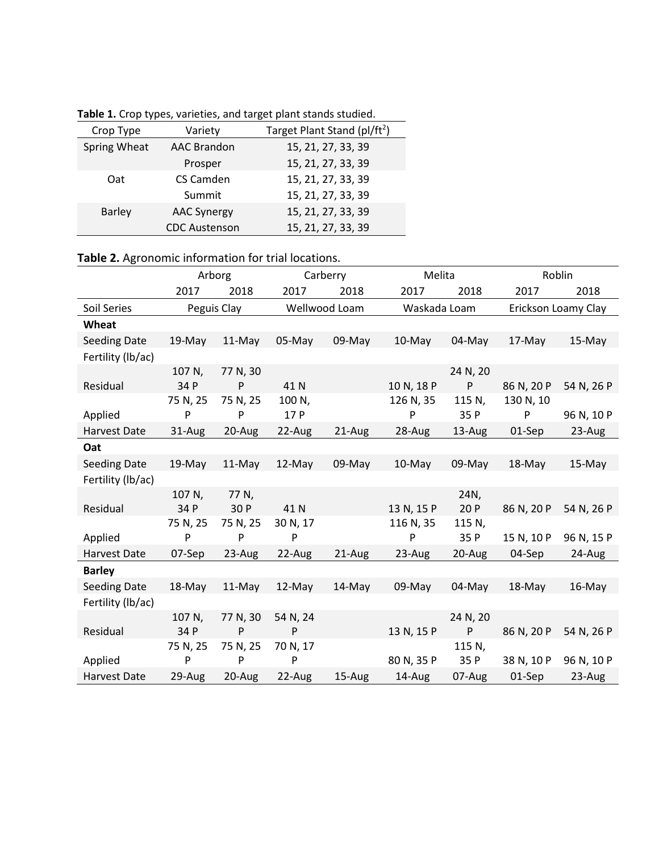|  | Table 1. Crop types, varieties, and target plant stands studied. |
|--|------------------------------------------------------------------|
|--|------------------------------------------------------------------|

| Crop Type     | Variety              | Target Plant Stand (pl/ft <sup>2</sup> ) |
|---------------|----------------------|------------------------------------------|
| Spring Wheat  | <b>AAC Brandon</b>   | 15, 21, 27, 33, 39                       |
|               | Prosper              | 15, 21, 27, 33, 39                       |
| Oat           | CS Camden            | 15, 21, 27, 33, 39                       |
|               | Summit               | 15, 21, 27, 33, 39                       |
| <b>Barley</b> | <b>AAC Synergy</b>   | 15, 21, 27, 33, 39                       |
|               | <b>CDC Austenson</b> | 15, 21, 27, 33, 39                       |

# **Table 2.** Agronomic information for trial locations.

|                     |           | Arborg      |          | Carberry      | Melita       |          | Roblin     |                     |  |
|---------------------|-----------|-------------|----------|---------------|--------------|----------|------------|---------------------|--|
|                     | 2017      | 2018        | 2017     | 2018          | 2017         | 2018     | 2017       | 2018                |  |
| Soil Series         |           | Peguis Clay |          | Wellwood Loam | Waskada Loam |          |            | Erickson Loamy Clay |  |
| Wheat               |           |             |          |               |              |          |            |                     |  |
| <b>Seeding Date</b> | 19-May    | 11-May      | 05-May   | 09-May        | 10-May       | $04-May$ | 17-May     | 15-May              |  |
| Fertility (lb/ac)   |           |             |          |               |              |          |            |                     |  |
|                     | 107 N,    | 77 N, 30    |          |               |              | 24 N, 20 |            |                     |  |
| Residual            | 34 P      | ${\sf P}$   | 41 N     |               | 10 N, 18 P   | P        | 86 N, 20 P | 54 N, 26 P          |  |
|                     | 75 N, 25  | 75 N, 25    | 100 N,   |               | 126 N, 35    | 115 N,   | 130 N, 10  |                     |  |
| Applied             | ${\sf P}$ | P           | 17 P     |               | P            | 35 P     | P          | 96 N, 10 P          |  |
| Harvest Date        | 31-Aug    | 20-Aug      | 22-Aug   | $21-Aug$      | 28-Aug       | 13-Aug   | 01-Sep     | 23-Aug              |  |
| Oat                 |           |             |          |               |              |          |            |                     |  |
| <b>Seeding Date</b> | $19-May$  | $11-May$    | $12-May$ | 09-May        | $10-May$     | $09-May$ | 18-May     | $15-May$            |  |
| Fertility (lb/ac)   |           |             |          |               |              |          |            |                     |  |
|                     | 107 N,    | 77 N,       |          |               |              | 24N,     |            |                     |  |
| Residual            | 34 P      | 30 P        | 41 N     |               | 13 N, 15 P   | 20P      | 86 N, 20 P | 54 N, 26 P          |  |
|                     | 75 N, 25  | 75 N, 25    | 30 N, 17 |               | 116 N, 35    | 115 N,   |            |                     |  |
| Applied             | ${\sf P}$ | P           | P        |               | P            | 35 P     | 15 N, 10 P | 96 N, 15 P          |  |
| Harvest Date        | 07-Sep    | 23-Aug      | 22-Aug   | 21-Aug        | 23-Aug       | 20-Aug   | 04-Sep     | 24-Aug              |  |
| <b>Barley</b>       |           |             |          |               |              |          |            |                     |  |
| Seeding Date        | 18-May    | 11-May      | 12-May   | 14-May        | 09-May       | 04-May   | 18-May     | 16-May              |  |
| Fertility (lb/ac)   |           |             |          |               |              |          |            |                     |  |
|                     | 107 N,    | 77 N, 30    | 54 N, 24 |               |              | 24 N, 20 |            |                     |  |
| Residual            | 34 P      | P           | P        |               | 13 N, 15 P   | P        | 86 N, 20 P | 54 N, 26 P          |  |
|                     | 75 N, 25  | 75 N, 25    | 70 N, 17 |               |              | 115 N,   |            |                     |  |
| Applied             | ${\sf P}$ | P           | P        |               | 80 N, 35 P   | 35 P     | 38 N, 10 P | 96 N, 10 P          |  |
| Harvest Date        | 29-Aug    | 20-Aug      | 22-Aug   | 15-Aug        | 14-Aug       | 07-Aug   | 01-Sep     | 23-Aug              |  |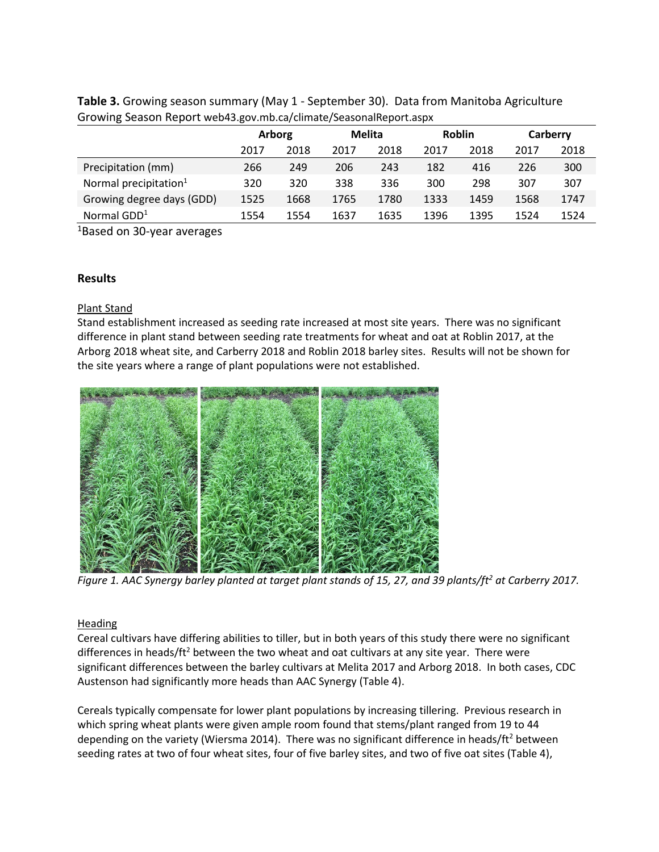| ັ                                 |        |      |        |      |               |      |          |      |  |
|-----------------------------------|--------|------|--------|------|---------------|------|----------|------|--|
|                                   | Arborg |      | Melita |      | <b>Roblin</b> |      | Carberry |      |  |
|                                   | 2017   | 2018 | 2017   | 2018 | 2017          | 2018 | 2017     | 2018 |  |
| Precipitation (mm)                | 266    | 249  | 206    | 243  | 182           | 416  | 226      | 300  |  |
| Normal precipitation <sup>1</sup> | 320    | 320  | 338    | 336  | 300           | 298  | 307      | 307  |  |
| Growing degree days (GDD)         | 1525   | 1668 | 1765   | 1780 | 1333          | 1459 | 1568     | 1747 |  |
| Normal $GDD1$                     | 1554   | 1554 | 1637   | 1635 | 1396          | 1395 | 1524     | 1524 |  |

**Table 3.** Growing season summary (May 1 - September 30). Data from Manitoba Agriculture Growing Season Report web43.gov.mb.ca/climate/SeasonalReport.aspx

1Based on 30-year averages

### **Results**

### Plant Stand

Stand establishment increased as seeding rate increased at most site years. There was no significant difference in plant stand between seeding rate treatments for wheat and oat at Roblin 2017, at the Arborg 2018 wheat site, and Carberry 2018 and Roblin 2018 barley sites. Results will not be shown for the site years where a range of plant populations were not established.



*Figure 1. AAC Synergy barley planted at target plant stands of 15, 27, and 39 plants/ft2 at Carberry 2017.* 

## **Heading**

Cereal cultivars have differing abilities to tiller, but in both years of this study there were no significant differences in heads/ $ft<sup>2</sup>$  between the two wheat and oat cultivars at any site year. There were significant differences between the barley cultivars at Melita 2017 and Arborg 2018. In both cases, CDC Austenson had significantly more heads than AAC Synergy (Table 4).

Cereals typically compensate for lower plant populations by increasing tillering. Previous research in which spring wheat plants were given ample room found that stems/plant ranged from 19 to 44 depending on the variety (Wiersma 2014). There was no significant difference in heads/ft<sup>2</sup> between seeding rates at two of four wheat sites, four of five barley sites, and two of five oat sites (Table 4),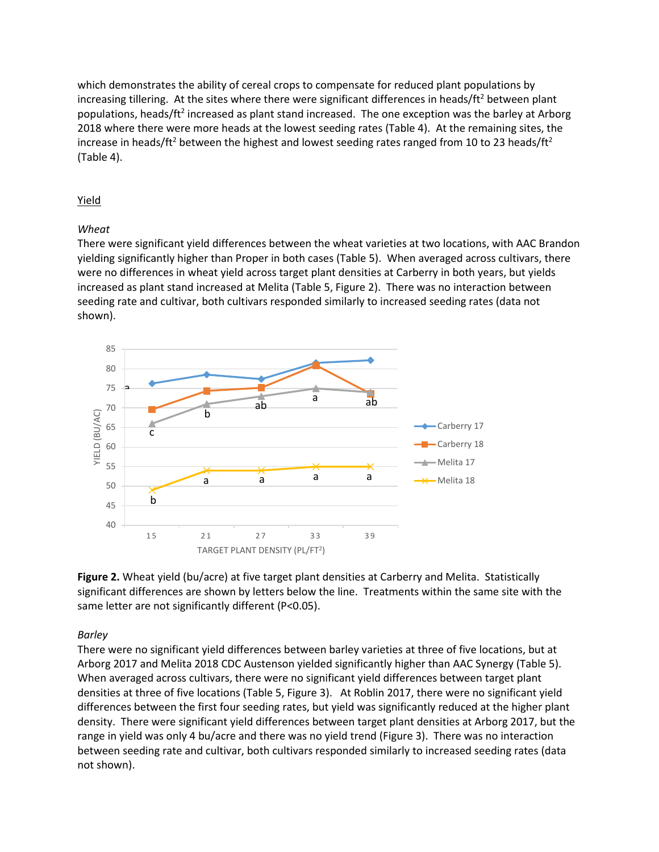which demonstrates the ability of cereal crops to compensate for reduced plant populations by increasing tillering. At the sites where there were significant differences in heads/ $ft<sup>2</sup>$  between plant populations, heads/ft<sup>2</sup> increased as plant stand increased. The one exception was the barley at Arborg 2018 where there were more heads at the lowest seeding rates (Table 4). At the remaining sites, the increase in heads/ft<sup>2</sup> between the highest and lowest seeding rates ranged from 10 to 23 heads/ft<sup>2</sup> (Table 4).

### Yield

### *Wheat*

There were significant yield differences between the wheat varieties at two locations, with AAC Brandon yielding significantly higher than Proper in both cases (Table 5). When averaged across cultivars, there were no differences in wheat yield across target plant densities at Carberry in both years, but yields increased as plant stand increased at Melita (Table 5, Figure 2). There was no interaction between seeding rate and cultivar, both cultivars responded similarly to increased seeding rates (data not shown).



**Figure 2.** Wheat yield (bu/acre) at five target plant densities at Carberry and Melita. Statistically significant differences are shown by letters below the line. Treatments within the same site with the same letter are not significantly different (P<0.05).

#### *Barley*

There were no significant yield differences between barley varieties at three of five locations, but at Arborg 2017 and Melita 2018 CDC Austenson yielded significantly higher than AAC Synergy (Table 5). When averaged across cultivars, there were no significant yield differences between target plant densities at three of five locations (Table 5, Figure 3). At Roblin 2017, there were no significant yield differences between the first four seeding rates, but yield was significantly reduced at the higher plant density. There were significant yield differences between target plant densities at Arborg 2017, but the range in yield was only 4 bu/acre and there was no yield trend (Figure 3). There was no interaction between seeding rate and cultivar, both cultivars responded similarly to increased seeding rates (data not shown).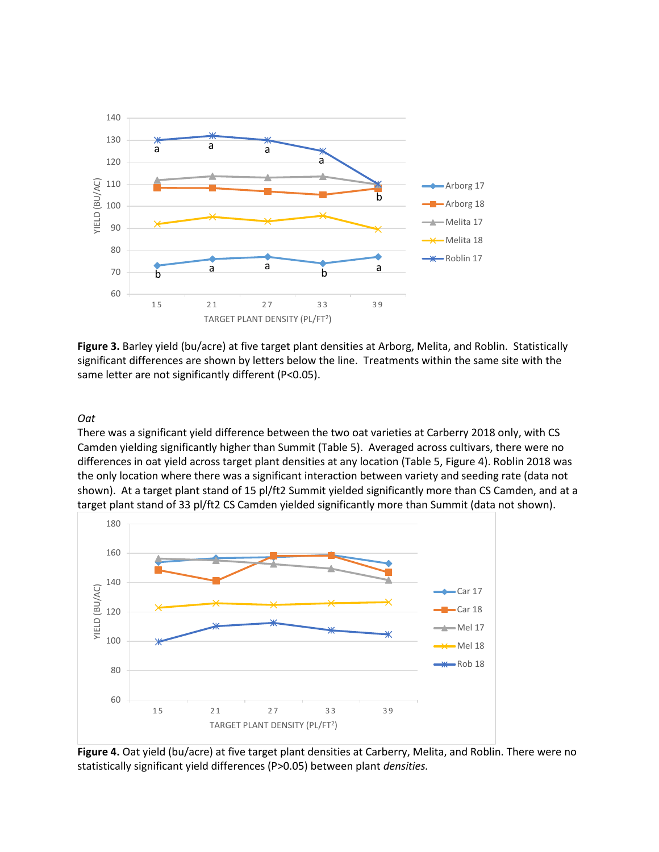

**Figure 3.** Barley yield (bu/acre) at five target plant densities at Arborg, Melita, and Roblin. Statistically significant differences are shown by letters below the line. Treatments within the same site with the same letter are not significantly different (P<0.05).

#### *Oat*

There was a significant yield difference between the two oat varieties at Carberry 2018 only, with CS Camden yielding significantly higher than Summit (Table 5). Averaged across cultivars, there were no differences in oat yield across target plant densities at any location (Table 5, Figure 4). Roblin 2018 was the only location where there was a significant interaction between variety and seeding rate (data not shown). At a target plant stand of 15 pl/ft2 Summit yielded significantly more than CS Camden, and at a target plant stand of 33 pl/ft2 CS Camden yielded significantly more than Summit (data not shown).



**Figure 4.** Oat yield (bu/acre) at five target plant densities at Carberry, Melita, and Roblin. There were no statistically significant yield differences (P>0.05) between plant *densities.*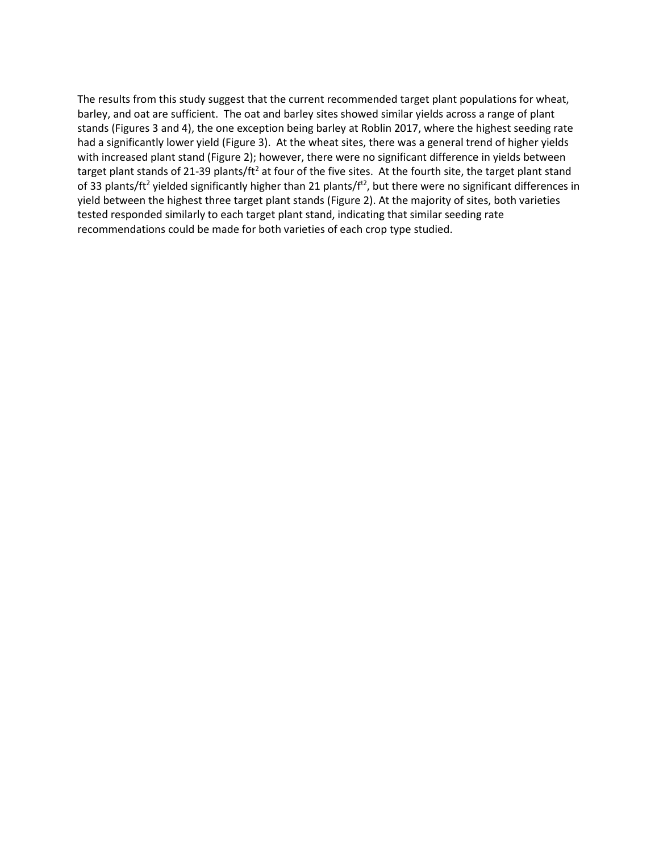The results from this study suggest that the current recommended target plant populations for wheat, barley, and oat are sufficient. The oat and barley sites showed similar yields across a range of plant stands (Figures 3 and 4), the one exception being barley at Roblin 2017, where the highest seeding rate had a significantly lower yield (Figure 3). At the wheat sites, there was a general trend of higher yields with increased plant stand (Figure 2); however, there were no significant difference in yields between target plant stands of 21-39 plants/ft<sup>2</sup> at four of the five sites. At the fourth site, the target plant stand of 33 plants/ft<sup>2</sup> yielded significantly higher than 21 plants/ $f<sup>t2</sup>$ , but there were no significant differences in yield between the highest three target plant stands (Figure 2). At the majority of sites, both varieties tested responded similarly to each target plant stand, indicating that similar seeding rate recommendations could be made for both varieties of each crop type studied.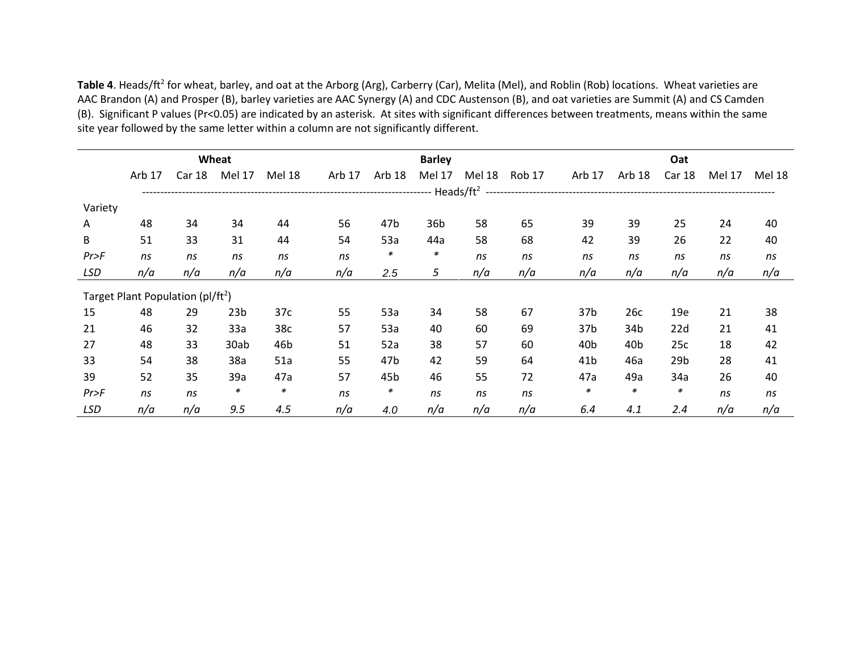Table 4. Heads/ft<sup>2</sup> for wheat, barley, and oat at the Arborg (Arg), Carberry (Car), Melita (Mel), and Roblin (Rob) locations. Wheat varieties are AAC Brandon (A) and Prosper (B), barley varieties are AAC Synergy (A) and CDC Austenson (B), and oat varieties are Summit (A) and CS Camden (B). Significant P values (Pr<0.05) are indicated by an asterisk. At sites with significant differences between treatments, means within the same site year followed by the same letter within a column are not significantly different.

|              | Wheat                                         |                   |                 |               |        | <b>Barley</b> |        |        |               |                 | Oat             |                 |        |        |  |  |
|--------------|-----------------------------------------------|-------------------|-----------------|---------------|--------|---------------|--------|--------|---------------|-----------------|-----------------|-----------------|--------|--------|--|--|
|              | Arb 17                                        | Car <sub>18</sub> | Mel 17          | <b>Mel 18</b> | Arb 17 | Arb 18        | Mel 17 | Mel 18 | <b>Rob 17</b> | Arb 17          | Arb 18          | Car 18          | Mel 17 | Mel 18 |  |  |
|              |                                               |                   |                 |               |        |               |        |        |               |                 |                 |                 |        |        |  |  |
| Variety      |                                               |                   |                 |               |        |               |        |        |               |                 |                 |                 |        |        |  |  |
| $\mathsf{A}$ | 48                                            | 34                | 34              | 44            | 56     | 47b           | 36b    | 58     | 65            | 39              | 39              | 25              | 24     | 40     |  |  |
| B            | 51                                            | 33                | 31              | 44            | 54     | 53a           | 44a    | 58     | 68            | 42              | 39              | 26              | 22     | 40     |  |  |
| Pr>F         | ns                                            | ns                | ns              | ns            | ns     | *             | $\ast$ | ns     | ns            | ns              | ns              | ns              | ns     | ns     |  |  |
| LSD          | n/a                                           | n/a               | n/a             | n/a           | n/a    | 2.5           | 5      | n/a    | n/a           | n/a             | n/a             | n/a             | n/a    | n/a    |  |  |
|              | Target Plant Population (pl/ft <sup>2</sup> ) |                   |                 |               |        |               |        |        |               |                 |                 |                 |        |        |  |  |
| 15           | 48                                            | 29                | 23 <sub>b</sub> | 37c           | 55     | 53a           | 34     | 58     | 67            | 37b             | 26с             | 19e             | 21     | 38     |  |  |
| 21           | 46                                            | 32                | 33a             | 38c           | 57     | 53a           | 40     | 60     | 69            | 37b             | 34b             | 22d             | 21     | 41     |  |  |
| 27           | 48                                            | 33                | 30ab            | 46b           | 51     | 52a           | 38     | 57     | 60            | 40b             | 40 <sub>b</sub> | 25c             | 18     | 42     |  |  |
| 33           | 54                                            | 38                | 38a             | 51a           | 55     | 47b           | 42     | 59     | 64            | 41 <sub>b</sub> | 46a             | 29 <sub>b</sub> | 28     | 41     |  |  |
| 39           | 52                                            | 35                | 39a             | 47a           | 57     | 45b           | 46     | 55     | 72            | 47a             | 49a             | 34a             | 26     | 40     |  |  |
| Pr>F         | ns                                            | ns                | ∗               | $\ast$        | ns     | $\ast$        | ns     | ns     | ns            | $\ast$          | $\ast$          | *               | ns     | ns     |  |  |
| LSD          | n/a                                           | n/a               | 9.5             | 4.5           | n/a    | 4.0           | n/a    | n/a    | n/a           | 6.4             | 4.1             | 2.4             | n/a    | n/a    |  |  |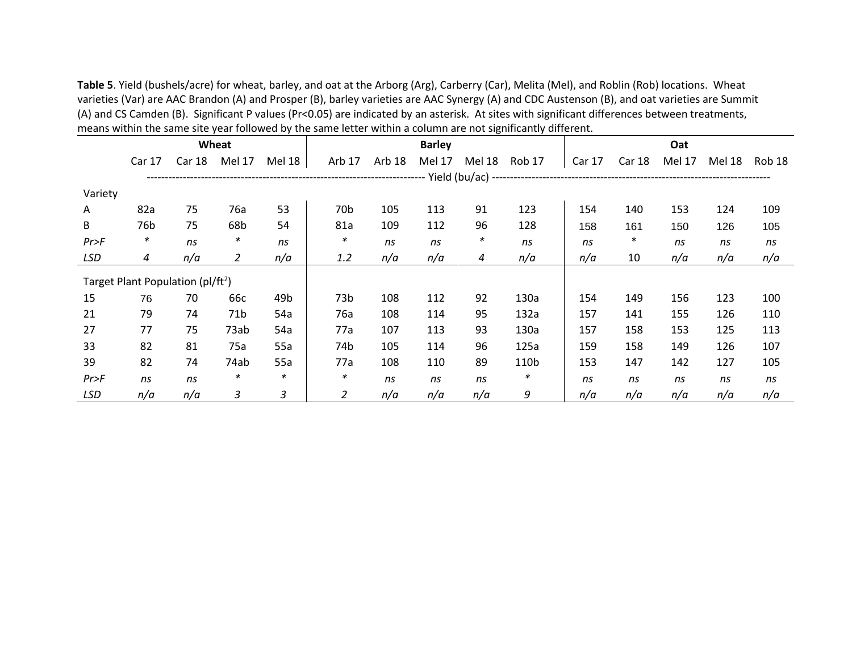**Table 5**. Yield (bushels/acre) for wheat, barley, and oat at the Arborg (Arg), Carberry (Car), Melita (Mel), and Roblin (Rob) locations. Wheat varieties (Var) are AAC Brandon (A) and Prosper (B), barley varieties are AAC Synergy (A) and CDC Austenson (B), and oat varieties are Summit (A) and CS Camden (B). Significant P values (Pr<0.05) are indicated by an asterisk. At sites with significant differences between treatments, means within the same site year followed by the same letter within a column are not significantly different.

|            | Wheat                                         |               |                 |        |                 | <b>Barley</b> |        |        |        |        | Oat           |               |        |        |  |
|------------|-----------------------------------------------|---------------|-----------------|--------|-----------------|---------------|--------|--------|--------|--------|---------------|---------------|--------|--------|--|
|            | Car 17                                        | <b>Car 18</b> | Mel 17          | Mel 18 | Arb 17          | Arb 18        | Mel 17 | Mel 18 | Rob 17 | Car 17 | <b>Car 18</b> | <b>Mel 17</b> | Mel 18 | Rob 18 |  |
|            |                                               |               |                 |        |                 |               |        |        |        |        |               |               |        |        |  |
| Variety    |                                               |               |                 |        |                 |               |        |        |        |        |               |               |        |        |  |
| A          | 82a                                           | 75            | 76a             | 53     | 70 <sub>b</sub> | 105           | 113    | 91     | 123    | 154    | 140           | 153           | 124    | 109    |  |
| B          | 76b                                           | 75            | 68b             | 54     | 81a             | 109           | 112    | 96     | 128    | 158    | 161           | 150           | 126    | 105    |  |
| Pr>F       | ∗                                             | ns            | ∗               | ns     | ∗               | ns            | ns     | ∗      | ns     | ns     | ∗             | ns            | ns     | ns     |  |
| <b>LSD</b> | 4                                             | n/a           | $\overline{2}$  | n/a    | 1.2             | n/a           | n/a    | 4      | n/a    | n/a    | 10            | n/a           | n/a    | n/a    |  |
|            | Target Plant Population (pl/ft <sup>2</sup> ) |               |                 |        |                 |               |        |        |        |        |               |               |        |        |  |
| 15         | 76                                            | 70            | 66c             | 49b    | 73b             | 108           | 112    | 92     | 130a   | 154    | 149           | 156           | 123    | 100    |  |
| 21         | 79                                            | 74            | 71 <sub>b</sub> | 54a    | 76a             | 108           | 114    | 95     | 132a   | 157    | 141           | 155           | 126    | 110    |  |
| 27         | 77                                            | 75            | 73ab            | 54a    | 77a             | 107           | 113    | 93     | 130a   | 157    | 158           | 153           | 125    | 113    |  |
| 33         | 82                                            | 81            | 75a             | 55a    | 74b             | 105           | 114    | 96     | 125a   | 159    | 158           | 149           | 126    | 107    |  |
| 39         | 82                                            | 74            | 74ab            | 55a    | 77a             | 108           | 110    | 89     | 110b   | 153    | 147           | 142           | 127    | 105    |  |
| Pr>F       | ns                                            | ns            | ∗               | *      | ∗               | ns            | ns     | ns     | *      | ns     | ns            | ns            | ns     | ns     |  |
| <b>LSD</b> | n/a                                           | n/a           | 3               | 3      | 2               | n/a           | n/a    | n/a    | 9      | n/a    | n/a           | n/a           | n/a    | n/a    |  |